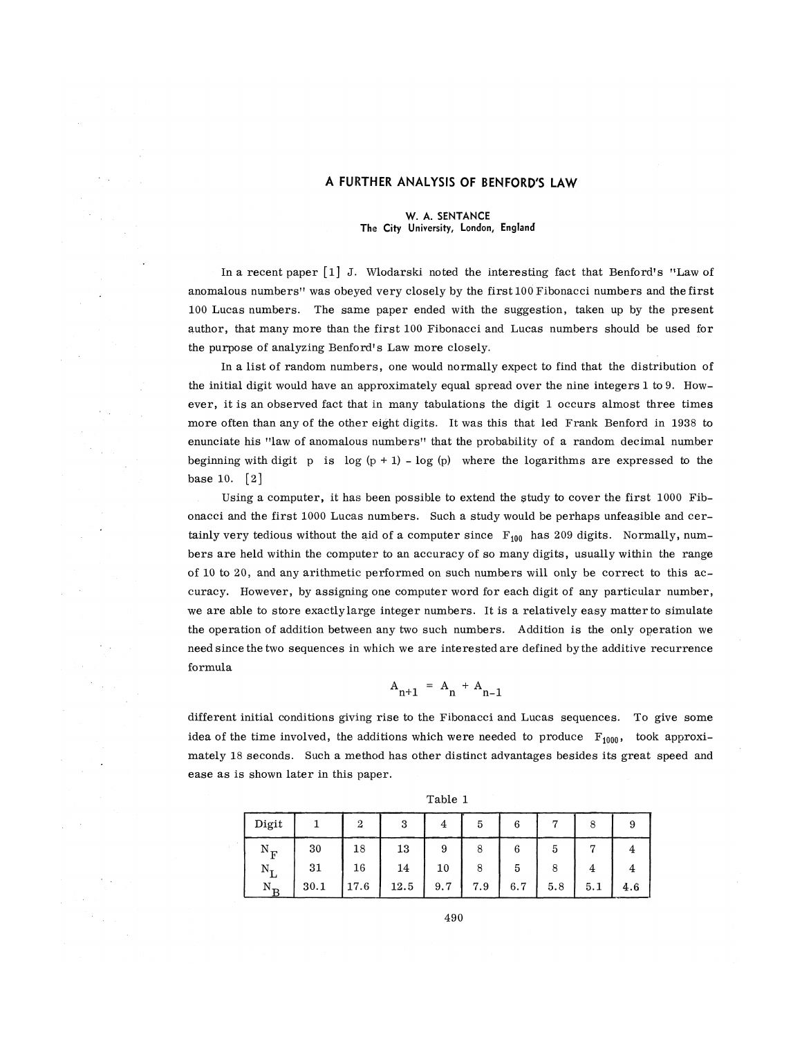## **A FURTHER ANALYSIS OF BENFORD'S LAW**

### **W. A. SENTANCE The City University, London, England**

In a recent paper [l] J. Wlodarski noted the interesting fact that Benford's "Law of anomalous numbers" was obeyed very closely by the first 100 Fibonacci numbers and the first 100 Lucas numbers. The same paper ended with the suggestion, taken up by the present author, that many more than the first 100 Fibonacci and Lucas numbers should be used for the purpose of analyzing Benford's Law more closely.

In a list of random numbers, one would normally expect to find that the distribution of the initial digit would have an approximately equal spread over the nine integers 1 to 9. However, it is an observed fact that in many tabulations the digit 1 occurs almost three times more often than any of the other eight digits. It was this that led Frank Benford in 1938 to enunciate his "law of anomalous numbers" that the probability of a random decimal number beginning with digit p is  $log(p + 1) - log(p)$  where the logarithms are expressed to the base 10. [2]

Using a computer, it has been possible to extend the study to cover the first 1000 Fibonacci and the first 1000 Lucas numbers. Such a study would be perhaps unfeasible and certainly very tedious without the aid of a computer since  $F_{100}$  has 209 digits. Normally, numbers are held within the computer to an accuracy of so many digits, usually within the range of 10 to 20, and any arithmetic performed on such numbers will only be correct to this accuracy. However, by assigning one computer word for each digit of any particular number, we are able to store exactly large integer numbers. It is a relatively easy matter to simulate the operation of addition between any two such numbers. Addition is the only operation we need since the two sequences in which we are interested are defined by the additive recurrence formula

$$
A_{n+1} = A_n + A_{n-1}
$$

different initial conditions giving rise to the Fibonacci and Lucas sequences. To give some idea of the time involved, the additions which were needed to produce  $F_{1000}$ , took approximately 18 seconds. Such a method has other distinct advantages besides its great speed and ease as is shown later in this paper.

| Digit            |      |         | ບ    |     | 5   | 6   |     | 8   | 9   |
|------------------|------|---------|------|-----|-----|-----|-----|-----|-----|
|                  | 30   | $^{18}$ | 13   | 9   | 8   |     | 5   |     |     |
| $N_{\tau}$       | 31   | 16      | 14   | 10  | 8   | 5   |     |     |     |
| $N_{\mathbf{p}}$ | 30.1 | 17.6    | 12.5 | 9.7 | 7.9 | 6.7 | 5.8 | 5.1 | 4.6 |

Table 1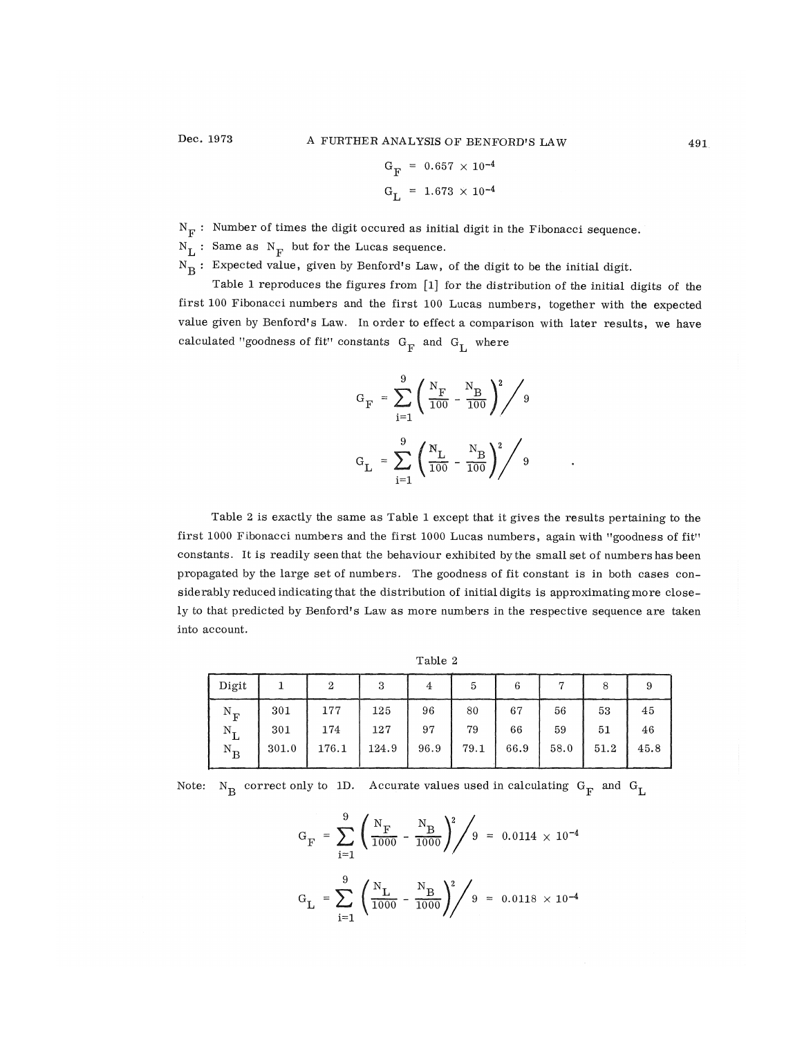$$
G_F = 0.657 \times 10^{-4}
$$
  

$$
G_L = 1.673 \times 10^{-4}
$$

 $\mathrm{N}_\mathrm{F}$  : Number of times the digit occured as initial digit in the Fibonacci sequence.

 $N_{\rm L}$  : Same as  $N_{\rm F}$  but for the Lucas sequence.

 $N_R$ : Expected value, given by Benford's Law, of the digit to be the initial digit.

Table 1 reproduces the figures from [l] for the distribution of the initial digits of the first 100 Fibonacci numbers and the first 100 Lucas numbers, together with the expected value given by Benford's Law. In order to effect a comparison with later results, we have calculated "goodness of fit" constants  $G^{\dagger}_{\mathbf{F}}$  and  $G^{\dagger}_{\mathbf{I}}$  where

*r* **L** 

$$
G_F = \sum_{i=1}^{9} \left( \frac{N_F}{100} - \frac{N_B}{100} \right)^2 / 9
$$
  

$$
G_L = \sum_{i=1}^{9} \left( \frac{N_L}{100} - \frac{N_B}{100} \right)^2 / 9
$$

 $\ddot{\phantom{0}}$ 

Table 2 is exactly the same as Table 1 except that it gives the results pertaining to the first 1000 Fibonacci numbers and the first 1000 Lucas numbers, again with "goodness of fit" constants. It is readily seen that the behaviour exhibited by the small set of numbers has been propagated by the large set of numbers. The goodness of fit constant is in both cases considerably reduced indicating that the distribution of initial digits is approximating more closely to that predicted by Benford's Law as more numbers in the respective sequence are taken into account.

| able |  |
|------|--|
|------|--|

| Digit                           |       | 2     | 3     | 4    | 5    | 6    |      | 8    |      |
|---------------------------------|-------|-------|-------|------|------|------|------|------|------|
| $N_F$                           | 301   | 177   | 125   | 96   | 80   | 67   | 56   | 53   | 45   |
| $N^{\phantom{\dagger}}_{\rm L}$ | 301   | 174   | 127   | 97   | 79   | 66   | 59   | 51   | 46   |
| $\rm N_B$                       | 301.0 | 176.1 | 124.9 | 96.9 | 79.1 | 66.9 | 58.0 | 51.2 | 45.8 |

Note:  $N_R$  correct only to ID. Accurate values used in calculating  $G_R$  and  $G_L$ 

$$
G_F = \sum_{i=1}^{9} \left( \frac{N_F}{1000} - \frac{N_B}{1000} \right)^2 / 9 = 0.0114 \times 10^{-4}
$$

$$
G_L = \sum_{i=1}^{9} \left( \frac{N_L}{1000} - \frac{N_B}{1000} \right)^2 / 9 = 0.0118 \times 10^{-4}
$$

491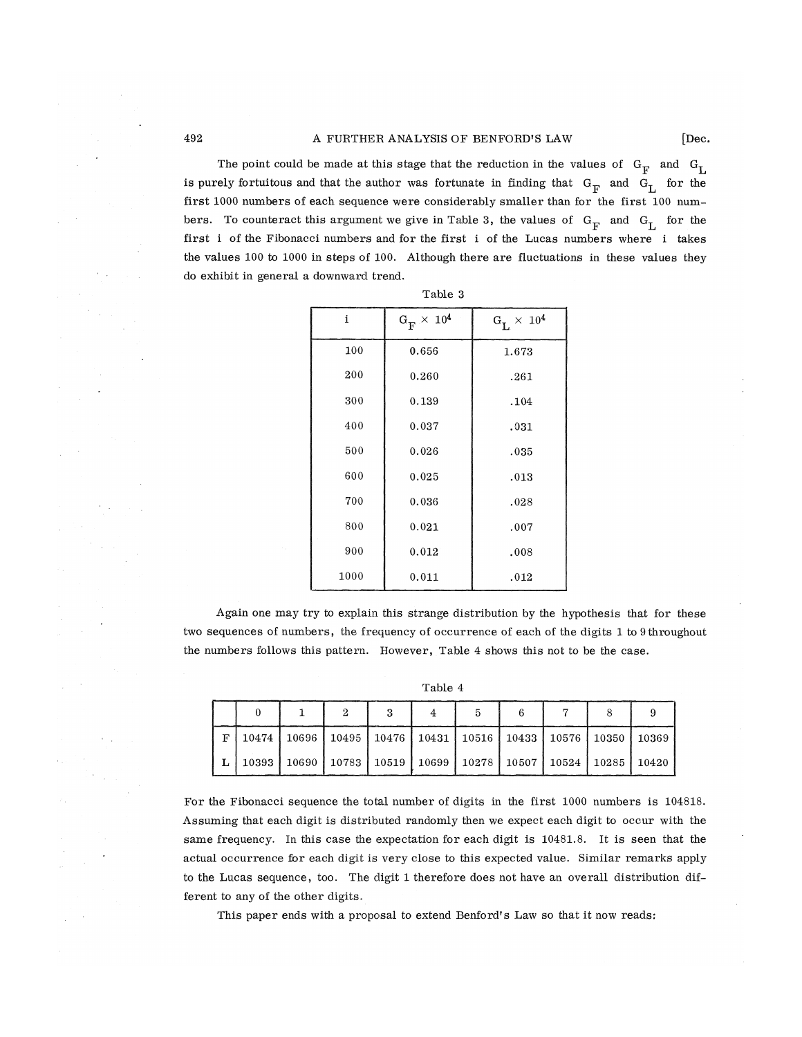The point could be made at this stage that the reduction in the values of  $G_F$  and  $G_I$ is purely fortuitous and that the author was fortunate in finding that  $G_F$  and  $G_L$  for the first 1000 numbers of each sequence were considerably smaller than for the first 100 numbers. To counteract this argument we give in Table 3, the values of  $G_F^-$  and  $G_L^-$  for the first i of the Fibonacci numbers and for the first i of the Lucas numbers where i takes the values 100 to 1000 in steps of 100. Although there are fluctuations in these values they do exhibit in general a downward trend.

|      | Table 3                          |                   |  |  |  |  |  |
|------|----------------------------------|-------------------|--|--|--|--|--|
| i    | $\rm G^{}_{\rm F} \times 10^{4}$ | $G_L \times 10^4$ |  |  |  |  |  |
| 100  | 0.656                            | 1.673             |  |  |  |  |  |
| 200  | 0.260                            | .261              |  |  |  |  |  |
| 300  | 0.139                            | .104              |  |  |  |  |  |
| 400  | 0.037                            | .031              |  |  |  |  |  |
| 500  | 0.026                            | .035              |  |  |  |  |  |
| 600  | 0.025                            | .013              |  |  |  |  |  |
| 700  | 0.036                            | .028              |  |  |  |  |  |
| 800  | 0.021                            | .007              |  |  |  |  |  |
| 900  | 0.012                            | .008              |  |  |  |  |  |
| 1000 | 0.011                            | .012              |  |  |  |  |  |

Again one may try to explain this strange distribution by the hypothesis that for these two sequences of numbers, the frequency of occurrence of each of the digits 1 to 9 throughout the numbers follows this pattern. However, Table 4 shows this not to be the case.

Table 4

| F | 10474   10696   10495   10476   10431   10516   10433   10576   10350   10369     |  |  |  |  |
|---|-----------------------------------------------------------------------------------|--|--|--|--|
|   | L   10393   10690   10783   10519   10699   10278   10507   10524   10285   10420 |  |  |  |  |

For the Fibonacci sequence the total number of digits in the first 1000 numbers is 104818. Assuming that each digit is distributed randomly then we expect each digit to occur with the same frequency. In this case the expectation for each digit is 10481.8. It is seen that the actual occurrence for each digit is very close to this expected value. Similar remarks apply to the Lucas sequence, too. The digit 1 therefore does not have an overall distribution different to any of the other digits.

This paper ends with a proposal to extend Benford's Law so that it now reads: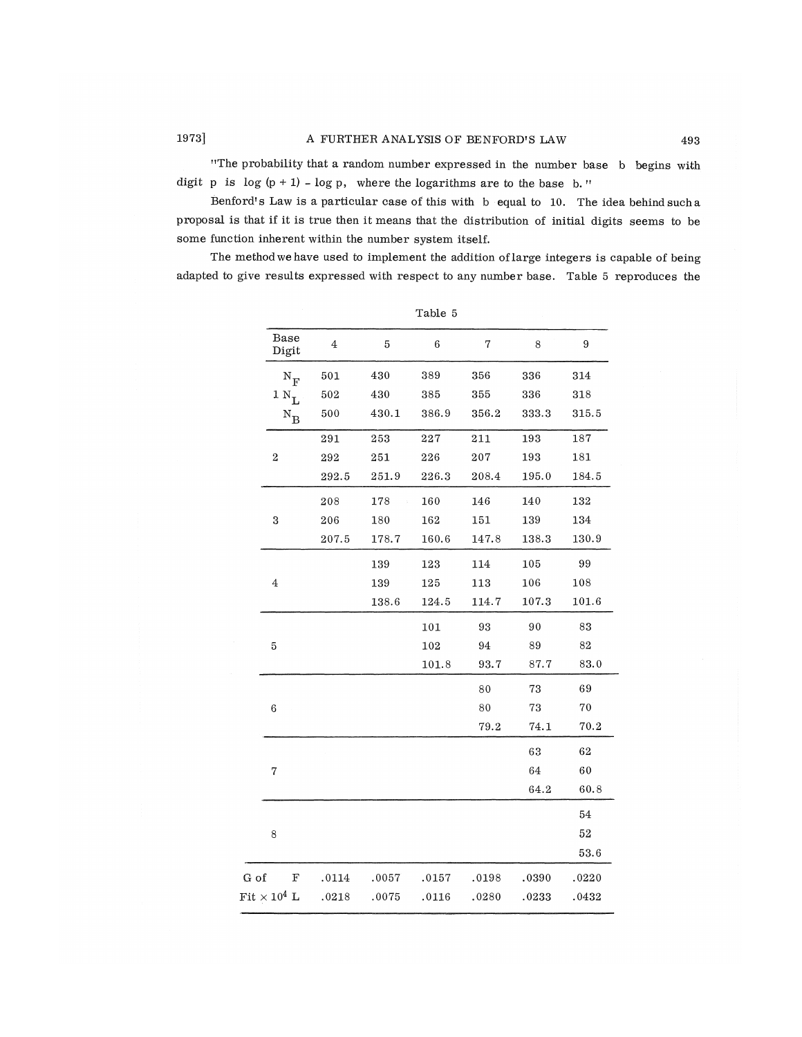"The probability that a random number expressed in the number base b begins with digit p is  $\log (p + 1)$  -  $\log p$ , where the logarithms are to the base b."

Benford's Law is a particular case of this with b equal to 10. The idea behind such a proposal is that if it is true then it means that the distribution of initial digits seems to be some function inherent within the number system itself.

The method we have used to implement the addition of large integers is capable of being adapted to give results expressed with respect to any number base. Table 5 reproduces the

|                           |         |       | ranie o |       |        |        |
|---------------------------|---------|-------|---------|-------|--------|--------|
| Base<br>Digit             | $\bf 4$ | 5     | $\,6$   | 7     | 8      | 9      |
| $\rm N_{F}$               | 501     | 430   | 389     | 356   | 336    | 314    |
| $1 N_{\text{T}}$          | $502\,$ | 430   | 385     | 355   | 336    | 318    |
| $\rm N_B$                 | 500     | 430.1 | 386.9   | 356.2 | 333.3  | 315.5  |
|                           | 291     | 253   | 227     | 211   | 193    | 187    |
| $\overline{\mathbf{c}}$   | 292     | 251   | 226     | 207   | 193    | 181    |
|                           | 292.5   | 251.9 | 226.3   | 208.4 | 195.0  | 184.5  |
|                           | 208     | 178   | 160     | 146   | 140    | 132    |
| 3                         | 206     | 180   | 162     | 151   | 139    | 134    |
|                           | 207.5   | 178.7 | 160.6   | 147.8 | 138.3  | 130.9  |
|                           |         | 139   | 123     | 114   | 105    | 99     |
| $\overline{\mathbf{4}}$   |         | 139   | 125     | 113   | 106    | 108    |
|                           |         | 138.6 | 124.5   | 114.7 | 107.3  | 101.6  |
|                           |         |       | 101     | 93    | 90     | 83     |
| 5                         |         |       | 102     | 94    | 89     | 82     |
|                           |         |       | 101.8   | 93.7  | 87.7   | 83.0   |
|                           |         |       |         | 80    | 73     | 69     |
| $\boldsymbol{6}$          |         |       |         | 80    | $73\,$ | $70\,$ |
|                           |         |       |         | 79.2  | 74.1   | 70.2   |
|                           |         |       |         |       | 63     | 62     |
| 7                         |         |       |         |       | 64     | 60     |
|                           |         |       |         |       | 64.2   | 60.8   |
|                           |         |       |         |       |        | 54     |
| $\,8\,$                   |         |       |         |       |        | $52\,$ |
|                           |         |       |         |       |        | 53.6   |
| G of<br>F                 | .0114   | .0057 | .0157   | .0198 | .0390  | .0220  |
| ${\rm Fit} \times 10^4$ L | .0218   | .0075 | .0116   | .0280 | .0233  | .0432  |
|                           |         |       |         |       |        |        |

Table 5